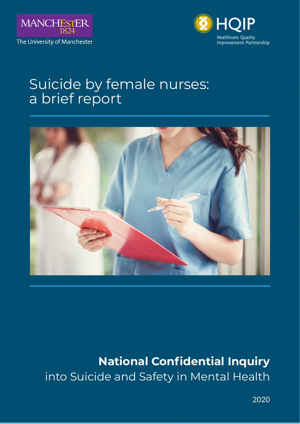



# Suicide by female nurses: a brief report



# **National Confidential Inquiry** into Suicide and Safety in Mental Health

2020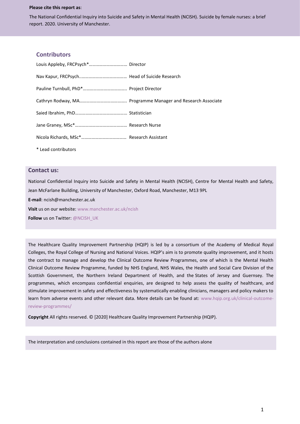#### **Please cite this report as**:

The National Confidential Inquiry into Suicide and Safety in Mental Health (NCISH). Suicide by female nurses: a brief report. 2020. University of Manchester.

#### **Contributors**

| * Lead contributors |  |
|---------------------|--|

#### **Contact us:**

National Confidential Inquiry into Suicide and Safety in Mental Health (NCISH), Centre for Mental Health and Safety, Jean McFarlane Building, University of Manchester, Oxford Road, Manchester, M13 9PL

**E-mail**: ncish@manchester.ac.uk

**Visit** us on our website: [www.manchester.ac.uk/ncish](http://www.manchester.ac.uk/ncish)

**Follow** us on Twitter[: @NCISH\\_UK](https://twitter.com/NCISH_UK)

The Healthcare Quality Improvement Partnership (HQIP) is led by a consortium of the Academy of Medical Royal Colleges, the Royal College of Nursing and National Voices. HQIP's aim is to promote quality improvement, and it hosts the contract to manage and develop the Clinical Outcome Review Programmes, one of which is the Mental Health Clinical Outcome Review Programme, funded by NHS England, NHS Wales, the Health and Social Care Division of the Scottish Government, the Northern Ireland Department of Health, and the States of Jersey and Guernsey. The programmes, which encompass confidential enquiries, are designed to help assess the quality of healthcare, and stimulate improvement in safety and effectiveness by systematically enabling clinicians, managers and policy makers to learn from adverse events and other relevant data. More details can be found at: [www.hqip.org.uk/clinical-outcome](http://www.hqip.org.uk/clinical-outcome-review-programmes/)[review-programmes/](http://www.hqip.org.uk/clinical-outcome-review-programmes/)

**Copyright** All rights reserved. © [2020] Healthcare Quality Improvement Partnership (HQIP).

The interpretation and conclusions contained in this report are those of the authors alone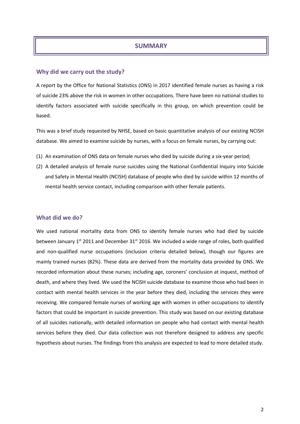# **SUMMARY**

## **Why did we carry out the study?**

A report by the Office for National Statistics (ONS) in 2017 identified female nurses as having a risk of suicide 23% above the risk in women in other occupations. There have been no national studies to identify factors associated with suicide specifically in this group, on which prevention could be based.

This was a brief study requested by NHSE, based on basic quantitative analysis of our existing NCISH database. We aimed to examine suicide by nurses, with a focus on female nurses, by carrying out:

- (1) An examination of ONS data on female nurses who died by suicide during a six-year period;
- (2) A detailed analysis of female nurse suicides using the National Confidential Inquiry into Suicide and Safety in Mental Health (NCISH) database of people who died by suicide within 12 months of mental health service contact, including comparison with other female patients.

#### **What did we do?**

We used national mortality data from ONS to identify female nurses who had died by suicide between January 1<sup>st</sup> 2011 and December 31<sup>st</sup> 2016. We included a wide range of roles, both qualified and non-qualified nurse occupations (inclusion criteria detailed below), though our figures are mainly trained nurses (82%). These data are derived from the mortality data provided by ONS. We recorded information about these nurses; including age, coroners' conclusion at inquest, method of death, and where they lived. We used the NCISH suicide database to examine those who had been in contact with mental health services in the year before they died, including the services they were receiving. We compared female nurses of working age with women in other occupations to identify factors that could be important in suicide prevention. This study was based on our existing database of all suicides nationally, with detailed information on people who had contact with mental health services before they died. Our data collection was not therefore designed to address any specific hypothesis about nurses. The findings from this analysis are expected to lead to more detailed study.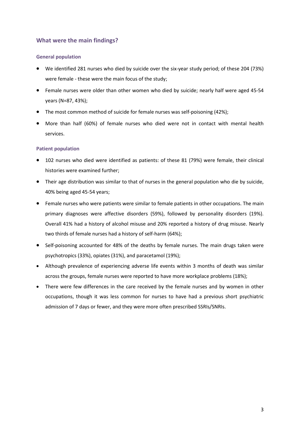# **What were the main findings?**

## **General population**

- We identified 281 nurses who died by suicide over the six-year study period; of these 204 (73%) were female - these were the main focus of the study;
- Female nurses were older than other women who died by suicide; nearly half were aged 45-54 years (N=87, 43%);
- The most common method of suicide for female nurses was self-poisoning (42%);
- More than half (60%) of female nurses who died were not in contact with mental health services.

## **Patient population**

- 102 nurses who died were identified as patients: of these 81 (79%) were female, their clinical histories were examined further;
- Their age distribution was similar to that of nurses in the general population who die by suicide, 40% being aged 45-54 years;
- Female nurses who were patients were similar to female patients in other occupations. The main primary diagnoses were affective disorders (59%), followed by personality disorders (19%). Overall 41% had a history of alcohol misuse and 20% reported a history of drug misuse. Nearly two thirds of female nurses had a history of self-harm (64%);
- Self-poisoning accounted for 48% of the deaths by female nurses. The main drugs taken were psychotropics (33%), opiates (31%), and paracetamol (19%);
- Although prevalence of experiencing adverse life events within 3 months of death was similar across the groups, female nurses were reported to have more workplace problems (18%);
- There were few differences in the care received by the female nurses and by women in other occupations, though it was less common for nurses to have had a previous short psychiatric admission of 7 days or fewer, and they were more often prescribed SSRIs/SNRIs.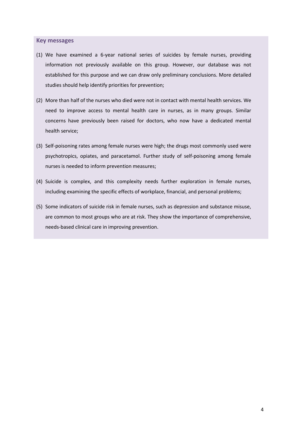#### **Key messages**

- (1) We have examined a 6-year national series of suicides by female nurses, providing information not previously available on this group. However, our database was not established for this purpose and we can draw only preliminary conclusions. More detailed studies should help identify priorities for prevention;
- (2) More than half of the nurses who died were not in contact with mental health services. We need to improve access to mental health care in nurses, as in many groups. Similar concerns have previously been raised for doctors, who now have a dedicated mental health service;
- (3) Self-poisoning rates among female nurses were high; the drugs most commonly used were psychotropics, opiates, and paracetamol. Further study of self-poisoning among female nurses is needed to inform prevention measures;
- (4) Suicide is complex, and this complexity needs further exploration in female nurses, including examining the specific effects of workplace, financial, and personal problems;
- (5) Some indicators of suicide risk in female nurses, such as depression and substance misuse, are common to most groups who are at risk. They show the importance of comprehensive, needs-based clinical care in improving prevention.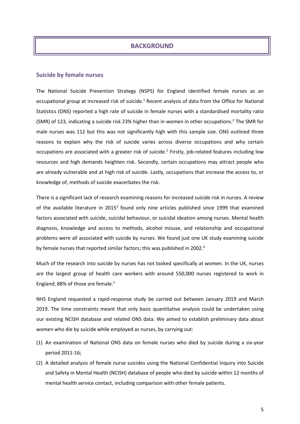## **BACKGROUND**

#### **Suicide by female nurses**

The National Suicide Prevention Strategy (NSPS) for England identified female nurses as an occupational group at increased risk of suicide. <sup>1</sup> Recent analysis of data from the Office for National Statistics (ONS) reported a high rate of suicide in female nurses with a standardised mortality ratio (SMR) of 123, indicating a suicide risk 23% higher than in women in other occupations.<sup>2</sup> The SMR for male nurses was 112 but this was not significantly high with this sample size. ONS outlined three reasons to explain why the risk of suicide varies across diverse occupations and why certain occupations are associated with a greater risk of suicide.<sup>2</sup> Firstly, job-related features including low resources and high demands heighten risk. Secondly, certain occupations may attract people who are already vulnerable and at high risk of suicide. Lastly, occupations that increase the access to, or knowledge of, methods of suicide exacerbates the risk.

There is a significant lack of research examining reasons for increased suicide risk in nurses. A review of the available literature in 2015<sup>3</sup> found only nine articles published since 1999 that examined factors associated with suicide, suicidal behaviour, or suicidal ideation among nurses. Mental health diagnosis, knowledge and access to methods, alcohol misuse, and relationship and occupational problems were all associated with suicide by nurses. We found just one UK study examining suicide by female nurses that reported similar factors; this was published in 2002.<sup>4</sup>

Much of the research into suicide by nurses has not looked specifically at women. In the UK, nurses are the largest group of health care workers with around 550,000 nurses registered to work in England; 88% of those are female. 5

NHS England requested a rapid-response study be carried out between January 2019 and March 2019. The time constraints meant that only basic quantitative analysis could be undertaken using our existing NCISH database and related ONS data. We aimed to establish preliminary data about women who die by suicide while employed as nurses, by carrying out:

- (1) An examination of National ONS data on female nurses who died by suicide during a six-year period 2011-16;
- (2) A detailed analysis of female nurse suicides using the National Confidential Inquiry into Suicide and Safety in Mental Health (NCISH) database of people who died by suicide within 12 months of mental health service contact, including comparison with other female patients.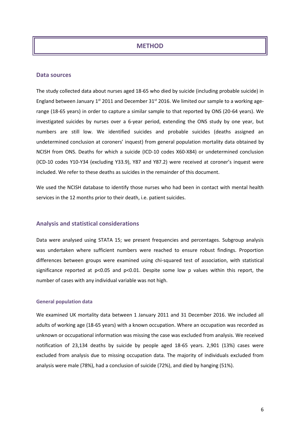## **METHOD**

#### **Data sources**

The study collected data about nurses aged 18-65 who died by suicide (including probable suicide) in England between January  $1<sup>st</sup>$  2011 and December 31 $<sup>st</sup>$  2016. We limited our sample to a working age-</sup> range (18-65 years) in order to capture a similar sample to that reported by ONS (20-64 years). We investigated suicides by nurses over a 6-year period, extending the ONS study by one year, but numbers are still low. We identified suicides and probable suicides (deaths assigned an undetermined conclusion at coroners' inquest) from general population mortality data obtained by NCISH from ONS. Deaths for which a suicide (ICD-10 codes X60-X84) or undetermined conclusion (ICD-10 codes Y10-Y34 (excluding Y33.9), Y87 and Y87.2) were received at coroner's inquest were included. We refer to these deaths as suicides in the remainder of this document.

We used the NCISH database to identify those nurses who had been in contact with mental health services in the 12 months prior to their death, i.e. patient suicides.

## **Analysis and statistical considerations**

Data were analysed using STATA 15; we present frequencies and percentages. Subgroup analysis was undertaken where sufficient numbers were reached to ensure robust findings. Proportion differences between groups were examined using chi-squared test of association, with statistical significance reported at p<0.05 and p<0.01. Despite some low p values within this report, the number of cases with any individual variable was not high.

#### **General population data**

We examined UK mortality data between 1 January 2011 and 31 December 2016. We included all adults of working age (18-65 years) with a known occupation. Where an occupation was recorded as unknown or occupational information was missing the case was excluded from analysis. We received notification of 23,134 deaths by suicide by people aged 18-65 years. 2,901 (13%) cases were excluded from analysis due to missing occupation data. The majority of individuals excluded from analysis were male (78%), had a conclusion of suicide (72%), and died by hanging (51%).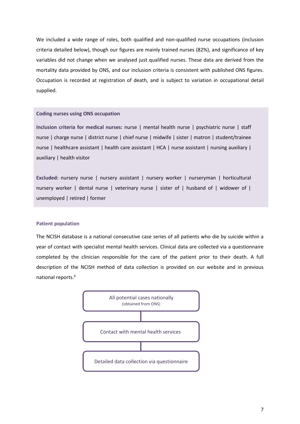We included a wide range of roles, both qualified and non-qualified nurse occupations (inclusion criteria detailed below), though our figures are mainly trained nurses (82%), and significance of key variables did not change when we analysed just qualified nurses. These data are derived from the mortality data provided by ONS, and our inclusion criteria is consistent with published ONS figures. Occupation is recorded at registration of death, and is subject to variation in occupational detail supplied.

#### **Coding nurses using ONS occupation**

**Inclusion criteria for medical nurses:** nurse | mental health nurse | psychiatric nurse | staff nurse | charge nurse | district nurse | chief nurse | midwife | sister | matron | student/trainee nurse | healthcare assistant | health care assistant | HCA | nurse assistant | nursing auxiliary | auxiliary | health visitor

**Excluded:** nursery nurse | nursery assistant | nursery worker | nurseryman | horticultural nursery worker | dental nurse | veterinary nurse | sister of | husband of | widower of | unemployed | retired | former

#### **Patient population**

The NCISH database is a national consecutive case series of all patients who die by suicide within a year of contact with specialist mental health services. Clinical data are collected via a questionnaire completed by the clinician responsible for the care of the patient prior to their death. A full description of the NCISH method of data collection is provided on our website and in previous national reports. 6

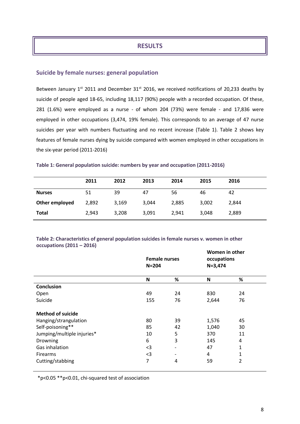# **RESULTS**

## **Suicide by female nurses: general population**

Between January  $1^{st}$  2011 and December 31 $^{st}$  2016, we received notifications of 20,233 deaths by suicide of people aged 18-65, including 18,117 (90%) people with a recorded occupation. Of these, 281 (1.6%) were employed as a nurse - of whom 204 (73%) were female - and 17,836 were employed in other occupations (3,474, 19% female). This corresponds to an average of 47 nurse suicides per year with numbers fluctuating and no recent increase (Table 1). Table 2 shows key features of female nurses dying by suicide compared with women employed in other occupations in the six-year period (2011-2016)

| Table 1: General population suicide: numbers by year and occupation (2011-2016) |  |  |  |  |
|---------------------------------------------------------------------------------|--|--|--|--|
|---------------------------------------------------------------------------------|--|--|--|--|

|                | 2011  | 2012  | 2013  | 2014  | 2015  | 2016  |
|----------------|-------|-------|-------|-------|-------|-------|
| <b>Nurses</b>  | 51    | 39    | 47    | 56    | 46    | 42    |
| Other employed | 2,892 | 3,169 | 3,044 | 2,885 | 3,002 | 2,844 |
| Total          | 2,943 | 3,208 | 3,091 | 2,941 | 3,048 | 2,889 |

**Table 2: Characteristics of general population suicides in female nurses v. women in other occupations (2011 – 2016)**

|                            | <b>Female nurses</b><br>$N = 204$ |                          | $N = 3,474$ | Women in other<br>occupations |  |  |
|----------------------------|-----------------------------------|--------------------------|-------------|-------------------------------|--|--|
|                            | N                                 | %                        | N           | %                             |  |  |
| <b>Conclusion</b>          |                                   |                          |             |                               |  |  |
| Open                       | 49                                | 24                       | 830         | 24                            |  |  |
| Suicide                    | 155                               | 76                       | 2,644       | 76                            |  |  |
| <b>Method of suicide</b>   |                                   |                          |             |                               |  |  |
| Hanging/strangulation      | 80                                | 39                       | 1,576       | 45                            |  |  |
| Self-poisoning**           | 85                                | 42                       | 1,040       | 30                            |  |  |
| Jumping/multiple injuries* | 10                                | 5                        | 370         | 11                            |  |  |
| Drowning                   | 6                                 | 3                        | 145         | 4                             |  |  |
| Gas inhalation             | $3$                               | $\overline{\phantom{0}}$ | 47          | 1                             |  |  |
| <b>Firearms</b>            | $3$                               | -                        | 4           | 1                             |  |  |
| Cutting/stabbing           | 7                                 | 4                        | 59          | $\overline{2}$                |  |  |

\*p<0.05 \*\*p<0.01, chi-squared test of association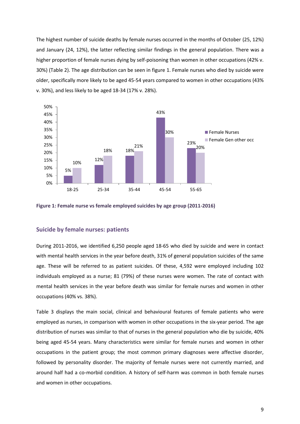The highest number of suicide deaths by female nurses occurred in the months of October (25, 12%) and January (24, 12%), the latter reflecting similar findings in the general population. There was a higher proportion of female nurses dying by self-poisoning than women in other occupations (42% v. 30%) (Table 2). The age distribution can be seen in figure 1. Female nurses who died by suicide were older, specifically more likely to be aged 45-54 years compared to women in other occupations (43% v. 30%), and less likely to be aged 18-34 (17% v. 28%).





#### **Suicide by female nurses: patients**

During 2011-2016, we identified 6,250 people aged 18-65 who died by suicide and were in contact with mental health services in the year before death, 31% of general population suicides of the same age. These will be referred to as patient suicides. Of these, 4,592 were employed including 102 individuals employed as a nurse; 81 (79%) of these nurses were women. The rate of contact with mental health services in the year before death was similar for female nurses and women in other occupations (40% vs. 38%).

Table 3 displays the main social, clinical and behavioural features of female patients who were employed as nurses, in comparison with women in other occupations in the six-year period. The age distribution of nurses was similar to that of nurses in the general population who die by suicide, 40% being aged 45-54 years. Many characteristics were similar for female nurses and women in other occupations in the patient group; the most common primary diagnoses were affective disorder, followed by personality disorder. The majority of female nurses were not currently married, and around half had a co-morbid condition. A history of self-harm was common in both female nurses and women in other occupations.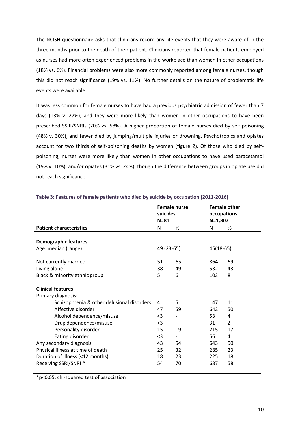The NCISH questionnaire asks that clinicians record any life events that they were aware of in the three months prior to the death of their patient. Clinicians reported that female patients employed as nurses had more often experienced problems in the workplace than women in other occupations (18% vs. 6%). Financial problems were also more commonly reported among female nurses, though this did not reach significance (19% vs. 11%). No further details on the nature of problematic life events were available.

It was less common for female nurses to have had a previous psychiatric admission of fewer than 7 days (13% v. 27%), and they were more likely than women in other occupations to have been prescribed SSRI/SNRIs (70% vs. 58%). A higher proportion of female nurses died by self-poisoning (48% v. 30%), and fewer died by jumping/multiple injuries or drowning. Psychotropics and opiates account for two thirds of self-poisoning deaths by women (figure 2). Of those who died by selfpoisoning, nurses were more likely than women in other occupations to have used paracetamol (19% v. 10%), and/or opiates (31% vs. 24%), though the difference between groups in opiate use did not reach significance.

|                                            | <b>Female nurse</b><br>suicides<br>$N = 81$ |                          | <b>Female other</b><br>occupations<br>$N=1,307$ |                |  |
|--------------------------------------------|---------------------------------------------|--------------------------|-------------------------------------------------|----------------|--|
|                                            |                                             |                          |                                                 |                |  |
| <b>Patient characteristics</b>             | N                                           | %                        | N                                               | %              |  |
|                                            |                                             |                          |                                                 |                |  |
| <b>Demographic features</b>                |                                             |                          |                                                 |                |  |
| Age: median (range)                        | 49 (23-65)                                  |                          | 45(18-65)                                       |                |  |
|                                            |                                             |                          |                                                 |                |  |
| Not currently married                      | 51                                          | 65                       | 864                                             | 69             |  |
| Living alone                               | 38                                          | 49                       | 532                                             | 43             |  |
| Black & minority ethnic group              | 5                                           | 6                        | 103                                             | 8              |  |
|                                            |                                             |                          |                                                 |                |  |
| <b>Clinical features</b>                   |                                             |                          |                                                 |                |  |
| Primary diagnosis:                         |                                             |                          |                                                 |                |  |
| Schizophrenia & other delusional disorders | 4                                           | 5                        | 147                                             | 11             |  |
| Affective disorder                         | 47                                          | 59                       | 642                                             | 50             |  |
| Alcohol dependence/misuse                  | $3$                                         |                          | 53                                              | 4              |  |
| Drug dependence/misuse                     | $3$                                         | -                        | 31                                              | $\overline{2}$ |  |
| Personality disorder                       | 15                                          | 19                       | 215                                             | 17             |  |
| Eating disorder                            | $3$                                         | $\overline{\phantom{a}}$ | 56                                              | 4              |  |
| Any secondary diagnosis                    | 43                                          | 54                       | 643                                             | 50             |  |
| Physical illness at time of death          | 25                                          | 32                       | 285                                             | 23             |  |
| Duration of illness (<12 months)           | 18                                          | 23                       | 225                                             | 18             |  |
| Receiving SSRI/SNRI *                      | 54                                          | 70                       | 687                                             | 58             |  |
|                                            |                                             |                          |                                                 |                |  |

#### **Table 3: Features of female patients who died by suicide by occupation (2011-2016)**

\*p<0.05, chi-squared test of association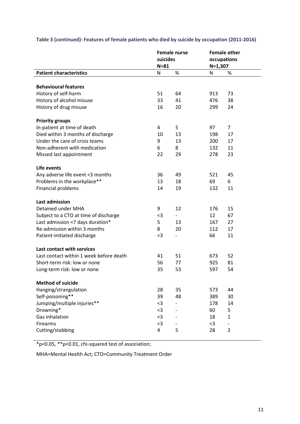|                                         | <b>Female nurse</b><br>suicides |                          | <b>Female other</b><br>occupations |                          |  |
|-----------------------------------------|---------------------------------|--------------------------|------------------------------------|--------------------------|--|
|                                         |                                 |                          |                                    |                          |  |
|                                         | $N = 81$                        |                          | $N=1,307$                          |                          |  |
| <b>Patient characteristics</b>          | N                               | $\%$                     | N                                  | %                        |  |
|                                         |                                 |                          |                                    |                          |  |
| <b>Behavioural features</b>             |                                 |                          |                                    |                          |  |
| History of self-harm                    | 51                              | 64                       | 913                                | 73                       |  |
| History of alcohol misuse               | 33                              | 41                       | 476                                | 38                       |  |
| History of drug misuse                  | 16                              | 20                       | 299                                | 24                       |  |
| <b>Priority groups</b>                  |                                 |                          |                                    |                          |  |
| In-patient at time of death             | 4                               | 5                        | 97                                 | $\overline{7}$           |  |
| Died within 3 months of discharge       | 10                              | 13                       | 198                                | 17                       |  |
| Under the care of crisis teams          | 9                               | 13                       | 200                                | 17                       |  |
| Non-adherent with medication            | 6                               | 8                        | 132                                | 11                       |  |
| Missed last appointment                 | 22                              | 29                       | 278                                | 23                       |  |
| Life events                             |                                 |                          |                                    |                          |  |
| Any adverse life event <3 months        | 36                              | 49                       | 521                                | 45                       |  |
| Problems in the workplace**             | 13                              | 18                       | 69                                 | 6                        |  |
| Financial problems                      | 14                              | 19                       | 132                                | 11                       |  |
|                                         |                                 |                          |                                    |                          |  |
| <b>Last admission</b>                   |                                 |                          |                                    |                          |  |
| Detained under MHA                      | 9                               | 12                       | 176                                | 15                       |  |
| Subject to a CTO at time of discharge   | $3$                             |                          | 12                                 | 67                       |  |
| Last admission <7 days duration*        | 5                               | 13                       | 167                                | 27                       |  |
| Re-admission within 3 months            | 8                               | 20                       | 112                                | 17                       |  |
| Patient-initiated discharge             | $3$                             | $\overline{\phantom{a}}$ | 66                                 | 11                       |  |
| Last contact with services              |                                 |                          |                                    |                          |  |
| Last contact within 1 week before death | 41                              | 51                       | 673                                | 52                       |  |
| Short-term risk: low or none            | 56                              | 77                       | 925                                | 81                       |  |
| Long-term risk: low or none             | 35                              | 53                       | 597                                | 54                       |  |
| <b>Method of suicide</b>                |                                 |                          |                                    |                          |  |
| Hanging/strangulation                   | 28                              | 35                       | 573                                | 44                       |  |
| Self-poisoning**                        | 39                              | 48                       | 389                                | 30                       |  |
| Jumping/multiple injuries**             | $3$                             |                          | 178                                | 14                       |  |
| Drowning*                               | $3$                             |                          | 60                                 | 5                        |  |
| Gas inhalation                          | $<$ 3                           | $\overline{\phantom{a}}$ | 18                                 | $\mathbf{1}$             |  |
| Firearms                                | $3$                             |                          | $3$                                | $\overline{\phantom{0}}$ |  |
| Cutting/stabbing                        | 4                               | 5                        | 28                                 | $\overline{2}$           |  |
|                                         |                                 |                          |                                    |                          |  |

# **Table 3 (continued): Features of female patients who died by suicide by occupation (2011-2016)**

\*p<0.05, \*\*p<0.01, chi-squared test of association;

MHA=Mental Health Act; CTO=Community Treatment Order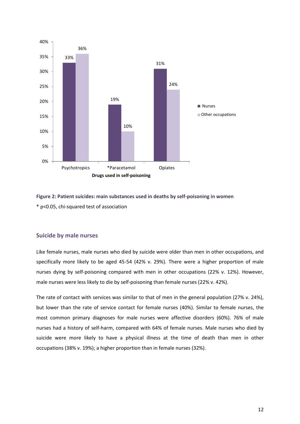

**Figure 2: Patient suicides: main substances used in deaths by self-poisoning in women \*** p<0.05, chi-squared test of association

## **Suicide by male nurses**

Like female nurses, male nurses who died by suicide were older than men in other occupations, and specifically more likely to be aged 45-54 (42% v. 29%). There were a higher proportion of male nurses dying by self-poisoning compared with men in other occupations (22% v. 12%). However, male nurses were less likely to die by self-poisoning than female nurses (22% v. 42%).

The rate of contact with services was similar to that of men in the general population (27% v. 24%), but lower than the rate of service contact for female nurses (40%). Similar to female nurses, the most common primary diagnoses for male nurses were affective disorders (60%). 76% of male nurses had a history of self-harm, compared with 64% of female nurses. Male nurses who died by suicide were more likely to have a physical illness at the time of death than men in other occupations (38% v. 19%); a higher proportion than in female nurses (32%).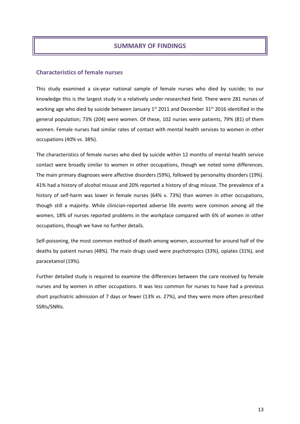# **SUMMARY OF FINDINGS**

## **Characteristics of female nurses**

This study examined a six-year national sample of female nurses who died by suicide; to our knowledge this is the largest study in a relatively under-researched field. There were 281 nurses of working age who died by suicide between January 1<sup>st</sup> 2011 and December 31<sup>st</sup> 2016 identified in the general population; 73% (204) were women. Of these, 102 nurses were patients, 79% (81) of them women. Female nurses had similar rates of contact with mental health services to women in other occupations (40% vs. 38%).

The characteristics of female nurses who died by suicide within 12 months of mental health service contact were broadly similar to women in other occupations, though we noted some differences. The main primary diagnoses were affective disorders (59%), followed by personality disorders (19%). 41% had a history of alcohol misuse and 20% reported a history of drug misuse. The prevalence of a history of self-harm was lower in female nurses (64% v. 73%) than women in other occupations, though still a majority. While clinician-reported adverse life events were common among all the women, 18% of nurses reported problems in the workplace compared with 6% of women in other occupations, though we have no further details.

Self-poisoning, the most common method of death among women, accounted for around half of the deaths by patient nurses (48%). The main drugs used were psychotropics (33%), opiates (31%), and paracetamol (19%).

Further detailed study is required to examine the differences between the care received by female nurses and by women in other occupations. It was less common for nurses to have had a previous short psychiatric admission of 7 days or fewer (13% vs. 27%), and they were more often prescribed SSRIs/SNRIs.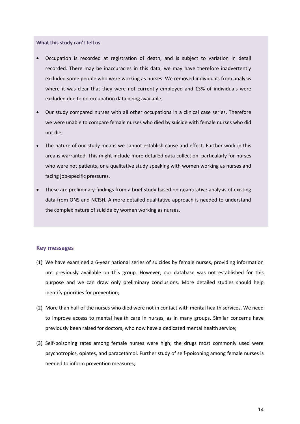**What this study can't tell us**

- Occupation is recorded at registration of death, and is subject to variation in detail recorded. There may be inaccuracies in this data; we may have therefore inadvertently excluded some people who were working as nurses. We removed individuals from analysis where it was clear that they were not currently employed and 13% of individuals were excluded due to no occupation data being available;
- Our study compared nurses with all other occupations in a clinical case series. Therefore we were unable to compare female nurses who died by suicide with female nurses who did not die;
- The nature of our study means we cannot establish cause and effect. Further work in this area is warranted. This might include more detailed data collection, particularly for nurses who were not patients, or a qualitative study speaking with women working as nurses and facing job-specific pressures.
- These are preliminary findings from a brief study based on quantitative analysis of existing data from ONS and NCISH. A more detailed qualitative approach is needed to understand the complex nature of suicide by women working as nurses.

#### **Key messages**

- (1) We have examined a 6-year national series of suicides by female nurses, providing information not previously available on this group. However, our database was not established for this purpose and we can draw only preliminary conclusions. More detailed studies should help identify priorities for prevention;
- (2) More than half of the nurses who died were not in contact with mental health services. We need to improve access to mental health care in nurses, as in many groups. Similar concerns have previously been raised for doctors, who now have a dedicated mental health service;
- (3) Self-poisoning rates among female nurses were high; the drugs most commonly used were psychotropics, opiates, and paracetamol. Further study of self-poisoning among female nurses is needed to inform prevention measures;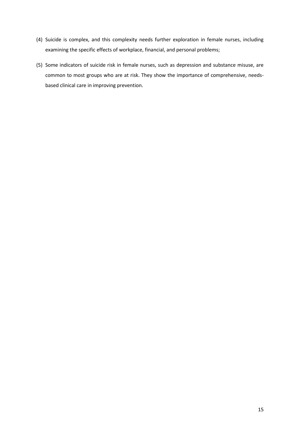- (4) Suicide is complex, and this complexity needs further exploration in female nurses, including examining the specific effects of workplace, financial, and personal problems;
- (5) Some indicators of suicide risk in female nurses, such as depression and substance misuse, are common to most groups who are at risk. They show the importance of comprehensive, needsbased clinical care in improving prevention.